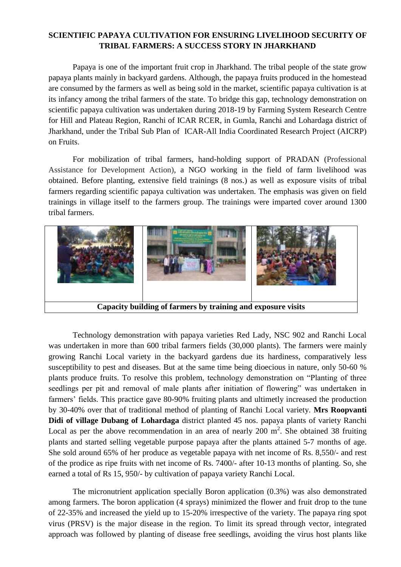## **SCIENTIFIC PAPAYA CULTIVATION FOR ENSURING LIVELIHOOD SECURITY OF TRIBAL FARMERS: A SUCCESS STORY IN JHARKHAND**

Papaya is one of the important fruit crop in Jharkhand. The tribal people of the state grow papaya plants mainly in backyard gardens. Although, the papaya fruits produced in the homestead are consumed by the farmers as well as being sold in the market, scientific papaya cultivation is at its infancy among the tribal farmers of the state. To bridge this gap, technology demonstration on scientific papaya cultivation was undertaken during 2018-19 by Farming System Research Centre for Hill and Plateau Region, Ranchi of ICAR RCER, in Gumla, Ranchi and Lohardaga district of Jharkhand, under the Tribal Sub Plan of ICAR-All India Coordinated Research Project (AICRP) on Fruits.

For mobilization of tribal farmers, hand-holding support of PRADAN (Professional Assistance for Development Action), a NGO working in the field of farm livelihood was obtained. Before planting, extensive field trainings (8 nos.) as well as exposure visits of tribal farmers regarding scientific papaya cultivation was undertaken. The emphasis was given on field trainings in village itself to the farmers group. The trainings were imparted cover around 1300 tribal farmers.



Technology demonstration with papaya varieties Red Lady, NSC 902 and Ranchi Local was undertaken in more than 600 tribal farmers fields (30,000 plants). The farmers were mainly growing Ranchi Local variety in the backyard gardens due its hardiness, comparatively less susceptibility to pest and diseases. But at the same time being dioecious in nature, only 50-60 % plants produce fruits. To resolve this problem, technology demonstration on "Planting of three seedlings per pit and removal of male plants after initiation of flowering" was undertaken in farmers' fields. This practice gave 80-90% fruiting plants and ultimetly increased the production by 30-40% over that of traditional method of planting of Ranchi Local variety. **Mrs Roopvanti Didi of village Dubang of Lohardaga** district planted 45 nos. papaya plants of variety Ranchi Local as per the above recommendation in an area of nearly 200  $m^2$ . She obtained 38 fruiting plants and started selling vegetable purpose papaya after the plants attained 5-7 months of age. She sold around 65% of her produce as vegetable papaya with net income of Rs. 8,550/- and rest of the prodice as ripe fruits with net income of Rs. 7400/- after 10-13 months of planting. So, she earned a total of Rs 15, 950/- by cultivation of papaya variety Ranchi Local.

The micronutrient application specially Boron application (0.3%) was also demonstrated among farmers. The boron application (4 sprays) minimized the flower and fruit drop to the tune of 22-35% and increased the yield up to 15-20% irrespective of the variety. The papaya ring spot virus (PRSV) is the major disease in the region. To limit its spread through vector, integrated approach was followed by planting of disease free seedlings, avoiding the virus host plants like